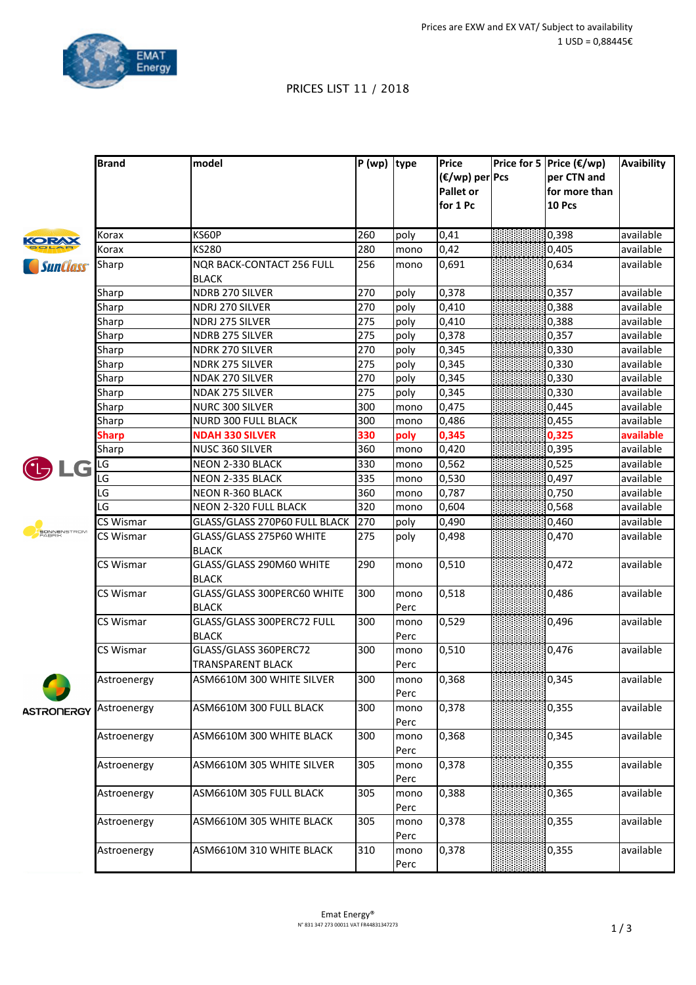

## PRICES LIST 11 / 2018

|                        | <b>Brand</b> | model                                    | $P(wp)$ type |              | Price           | $ Price for 5   Price (\mathbf{\epsilon}/wp)$ | Avaibility |
|------------------------|--------------|------------------------------------------|--------------|--------------|-----------------|-----------------------------------------------|------------|
|                        |              |                                          |              |              | (€/wp) per Pcs  | per CTN and                                   |            |
|                        |              |                                          |              |              | Pallet or       | for more than                                 |            |
|                        |              |                                          |              |              | for 1 Pc        | 10 Pcs                                        |            |
|                        |              |                                          |              |              |                 |                                               |            |
| KORAX                  | Korax        | KS60P                                    | 260          | poly         | 0,41            | 0,398                                         | available  |
|                        | Korax        | <b>KS280</b>                             | 280          | mono         | 0,42            | 0,405                                         | available  |
| <i><b>SunClass</b></i> | Sharp        | <b>NQR BACK-CONTACT 256 FULL</b>         | 256          | mono         | 0,691           | 0,634                                         | available  |
|                        |              | <b>BLACK</b>                             |              |              |                 |                                               |            |
|                        | Sharp        | NDRB 270 SILVER                          | 270          | poly         | 0,378           | 0,357                                         | available  |
|                        | Sharp        | NDRJ 270 SILVER                          | 270          | poly         | 0,410           | 0,388                                         | available  |
|                        | Sharp        | NDRJ 275 SILVER                          | 275          | poly         | 0,410           | 0,388                                         | available  |
|                        | Sharp        | NDRB 275 SILVER                          | 275          | poly         | 0,378           | 0,357                                         | available  |
|                        | Sharp        | NDRK 270 SILVER                          | 270          | poly         | 0,345           | 0,330                                         | available  |
|                        | Sharp        | NDRK 275 SILVER                          | 275          | poly         | 0,345           | 0,330                                         | available  |
|                        | Sharp        | NDAK 270 SILVER                          | 270          | poly         | 0,345           | 0,330                                         | available  |
|                        | Sharp        | NDAK 275 SILVER                          | 275          | poly         | 0,345           | 0,330                                         | available  |
|                        | Sharp        | NURC 300 SILVER                          | 300          | mono         | 0,475           | 0,445                                         | available  |
|                        | Sharp        | <b>NURD 300 FULL BLACK</b>               | 300          | mono         | 0,486           | 0,455                                         | available  |
|                        | <b>Sharp</b> | <b>NDAH 330 SILVER</b>                   | 330          | poly         | 0,345           | 0,325                                         | available  |
|                        | Sharp        | NUSC 360 SILVER                          | 360          | mono         | 0,420           | 0,395                                         | available  |
| LG                     | LG           | NEON 2-330 BLACK                         | 330          | mono         | 0,562           | 0,525                                         | available  |
|                        | LG           | NEON 2-335 BLACK                         | 335          | mono         | 0,530           | 0,497                                         | available  |
|                        | LG           | <b>NEON R-360 BLACK</b>                  | 360          | mono         | 0,787           | 0,750                                         | available  |
|                        | LG           | NEON 2-320 FULL BLACK                    | 320          | mono         | 0,604           | 0,568                                         | available  |
| SONNENSTROM<br>FABRIK  | CS Wismar    | GLASS/GLASS 270P60 FULL BLACK            | 270          | poly         | $ 0,490\rangle$ | 0,460                                         | available  |
|                        | CS Wismar    | GLASS/GLASS 275P60 WHITE                 | 275          | poly         | 0,498           | 0,470                                         | available  |
|                        |              | <b>BLACK</b>                             | 290          |              |                 |                                               |            |
|                        | CS Wismar    | GLASS/GLASS 290M60 WHITE<br><b>BLACK</b> |              | mono         | 0,510           | 0,472                                         | available  |
|                        | CS Wismar    | GLASS/GLASS 300PERC60 WHITE              | 300          | mono         | 0,518           | 0,486                                         | available  |
|                        |              | <b>BLACK</b>                             |              | Perc         |                 |                                               |            |
|                        | CS Wismar    | GLASS/GLASS 300PERC72 FULL               | 300          | mono         | $ 0,529\rangle$ | 0,496                                         | available  |
|                        |              | <b>BLACK</b>                             |              | Perc         |                 |                                               |            |
|                        | CS Wismar    | GLASS/GLASS 360PERC72                    | 300          | mono         | 0,510           | 0,476                                         | available  |
|                        |              | <b>TRANSPARENT BLACK</b>                 |              | Perc         |                 |                                               |            |
|                        | Astroenergy  | ASM6610M 300 WHITE SILVER                | 300          | mono<br>Perc | 0,368           | 0,345                                         | available  |
| <b>ASTRONERGY</b>      | Astroenergy  | ASM6610M 300 FULL BLACK                  | 300          | mono<br>Perc | 0,378           | 0,355                                         | available  |
|                        | Astroenergy  | ASM6610M 300 WHITE BLACK                 | 300          | mono         | 0,368           | 0,345                                         | available  |
|                        |              |                                          |              | Perc         |                 |                                               |            |
|                        | Astroenergy  | ASM6610M 305 WHITE SILVER                | 305          | mono<br>Perc | 0,378           | 0,355                                         | available  |
|                        | Astroenergy  | ASM6610M 305 FULL BLACK                  | 305          | mono         | 0,388           | 0,365                                         | available  |
|                        |              |                                          |              | Perc         |                 |                                               |            |
|                        | Astroenergy  | ASM6610M 305 WHITE BLACK                 | 305          | mono         | 0,378           | 0,355                                         | available  |
|                        |              |                                          |              | Perc         |                 |                                               |            |
|                        | Astroenergy  | ASM6610M 310 WHITE BLACK                 | 310          | mono         | 0,378           | 0,355                                         | available  |
|                        |              |                                          |              | Perc         |                 |                                               |            |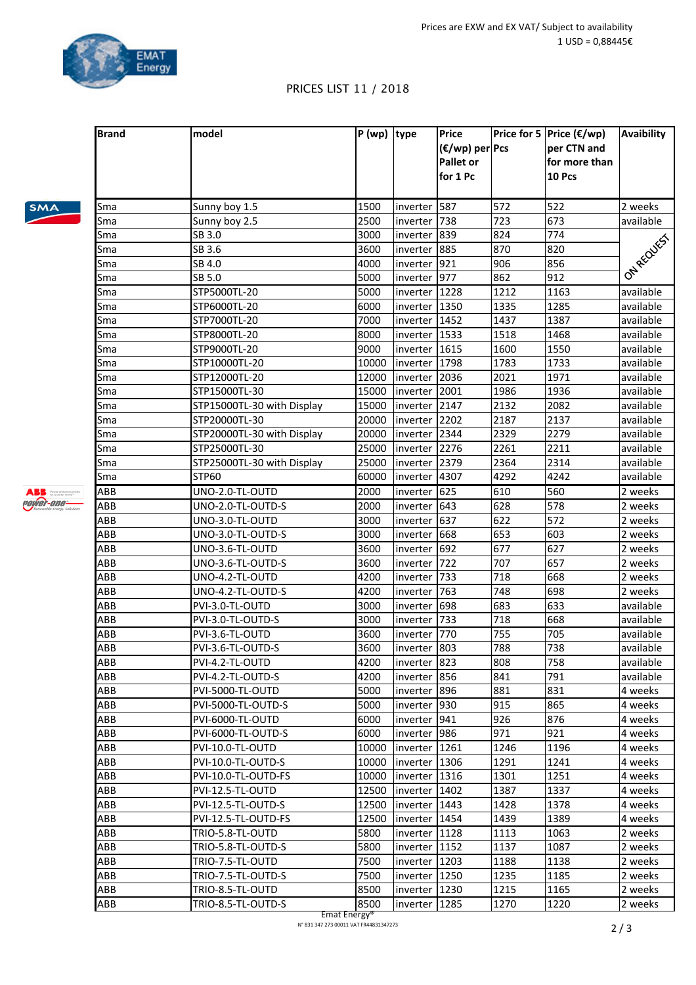

**Price for 5** Price (€/wp)

**per CTN and** 

**Avaibility**

**(€/wp) per Pcs**

## PRICES LIST 11 / 2018

**Brand model P** (wp) **type Price** 

SMA

**ABB** Power and produc power-one-

|            |                            |       |                                      | Pallet or<br>for 1 Pc |      | for more than<br>10 Pcs |            |
|------------|----------------------------|-------|--------------------------------------|-----------------------|------|-------------------------|------------|
| Sma        | Sunny boy 1.5              | 1500  | inverter   587                       |                       | 572  | 522                     | 2 weeks    |
| Sma        | Sunny boy 2.5              | 2500  | inverter   738                       |                       | 723  | 673                     | available  |
| Sma        | SB 3.0                     | 3000  | inverter 839                         |                       | 824  | 774                     |            |
| Sma        | SB 3.6                     | 3600  | inverter 885                         |                       | 870  | 820                     |            |
| Sma        | SB 4.0                     | 4000  | inverter                             | 921                   | 906  | 856                     |            |
| Sma        | SB 5.0                     | 5000  | inverter 977                         |                       | 862  | 912                     | ON RECUTES |
| Sma        | STP5000TL-20               | 5000  | inverter   1228                      |                       | 1212 | 1163                    | available  |
| Sma        | STP6000TL-20               | 6000  | inverter   1350                      |                       | 1335 | 1285                    | available  |
| Sma        | STP7000TL-20               | 7000  | inverter $ 1452$                     |                       | 1437 | 1387                    | available  |
| Sma        | STP8000TL-20               | 8000  | inverter $ 1533$                     |                       | 1518 | 1468                    | available  |
| Sma        | STP9000TL-20               | 9000  | inverter   1615                      |                       | 1600 | 1550                    | available  |
| Sma        | STP10000TL-20              | 10000 | inverter 1798                        |                       | 1783 | 1733                    | available  |
| Sma        | STP12000TL-20              | 12000 | inverter   2036                      |                       | 2021 | 1971                    | available  |
| Sma        | STP15000TL-30              | 15000 | inverter   2001                      |                       | 1986 | 1936                    | available  |
| Sma        | STP15000TL-30 with Display | 15000 | inverter 2147                        |                       | 2132 | 2082                    | available  |
| Sma        | STP20000TL-30              | 20000 | inverter 2202                        |                       | 2187 | 2137                    | available  |
| Sma        | STP20000TL-30 with Display | 20000 | inverter 2344                        |                       | 2329 | 2279                    | available  |
| Sma        | STP25000TL-30              | 25000 | inverter 2276                        |                       | 2261 | 2211                    | available  |
| Sma        | STP25000TL-30 with Display | 25000 | inverter 2379                        |                       | 2364 | 2314                    | available  |
| Sma        | STP60                      | 60000 | inverter 4307                        |                       | 4292 | 4242                    | available  |
| ABB        | UNO-2.0-TL-OUTD            | 2000  | inverter 625                         |                       | 610  | 560                     | 2 weeks    |
| ABB        | UNO-2.0-TL-OUTD-S          | 2000  | inverter 643                         |                       | 628  | 578                     | 2 weeks    |
| ABB        | UNO-3.0-TL-OUTD            | 3000  | inverter 637                         |                       | 622  | $\overline{572}$        | 2 weeks    |
| ABB        | UNO-3.0-TL-OUTD-S          | 3000  | inverter 668                         |                       | 653  | 603                     | 2 weeks    |
| ABB        | UNO-3.6-TL-OUTD            | 3600  | inverter 692                         |                       | 677  | 627                     | 2 weeks    |
| ABB        | UNO-3.6-TL-OUTD-S          | 3600  | inverter                             | 722                   | 707  | 657                     | 2 weeks    |
| ABB        | UNO-4.2-TL-OUTD            | 4200  | inverter                             | 733                   | 718  | 668                     | 2 weeks    |
| ABB        | UNO-4.2-TL-OUTD-S          | 4200  | inverter                             | 763                   | 748  | 698                     | 2 weeks    |
| ABB        | PVI-3.0-TL-OUTD            | 3000  | inverter 698                         |                       | 683  | 633                     | available  |
| ABB        | PVI-3.0-TL-OUTD-S          | 3000  | inverter   733                       |                       | 718  | 668                     | available  |
| ABB        | PVI-3.6-TL-OUTD            | 3600  | inverter   770                       |                       | 755  | 705                     | available  |
| ABB        | PVI-3.6-TL-OUTD-S          | 3600  | inverter   803                       |                       | 788  | 738                     | available  |
| ABB        | PVI-4.2-TL-OUTD            | 4200  | inverter   823                       |                       | 808  | 758                     | available  |
| <b>ABB</b> | PVI-4.2-TL-OUTD-S          | 4200  | inverter 856                         |                       | 841  | 791                     | available  |
| ABB        | PVI-5000-TL-OUTD           | 5000  | inverter   896                       |                       | 881  | 831                     | 4 weeks    |
| ABB        | PVI-5000-TL-OUTD-S         | 5000  | inverter  930                        |                       | 915  | 865                     | 4 weeks    |
| ABB        | PVI-6000-TL-OUTD           | 6000  | inverter  941                        |                       | 926  | 876                     | 4 weeks    |
| ABB        | PVI-6000-TL-OUTD-S         | 6000  | inverter   986                       |                       | 971  | 921                     | 4 weeks    |
| ABB        | PVI-10.0-TL-OUTD           | 10000 | inverter $ 1261$                     |                       | 1246 | 1196                    | 4 weeks    |
| ABB        | PVI-10.0-TL-OUTD-S         | 10000 | inverter   1306                      |                       | 1291 | 1241                    | 4 weeks    |
| ABB        | PVI-10.0-TL-OUTD-FS        | 10000 | inverter   1316                      |                       | 1301 | 1251                    | 4 weeks    |
| ABB        | PVI-12.5-TL-OUTD           | 12500 | inverter   1402                      |                       | 1387 | 1337                    | 4 weeks    |
| ABB        | PVI-12.5-TL-OUTD-S         | 12500 | inverter $ 1443$                     |                       | 1428 | 1378                    | 4 weeks    |
| ABB        | PVI-12.5-TL-OUTD-FS        | 12500 | inverter $ 1454$                     |                       | 1439 | 1389                    | 4 weeks    |
| ABB        | TRIO-5.8-TL-OUTD           | 5800  | inverter $ 1128$                     |                       | 1113 | 1063                    | 2 weeks    |
| ABB        |                            | 5800  | inverter   1152                      |                       | 1137 | 1087                    |            |
| ABB        | TRIO-5.8-TL-OUTD-S         | 7500  |                                      |                       | 1188 |                         | 2 weeks    |
| ABB        | TRIO-7.5-TL-OUTD           | 7500  | inverter $ 1203$<br>inverter $ 1250$ |                       | 1235 | 1138<br>1185            | 2 weeks    |
|            | TRIO-7.5-TL-OUTD-S         |       |                                      |                       |      |                         | 2 weeks    |
| ABB        | TRIO-8.5-TL-OUTD           | 8500  | inverter $ 1230$                     |                       | 1215 | 1165                    | 2 weeks    |
| ABB        | TRIO-8.5-TL-OUTD-S         | 8500  | inverter $ 1285$                     |                       | 1270 | 1220                    | 2 weeks    |